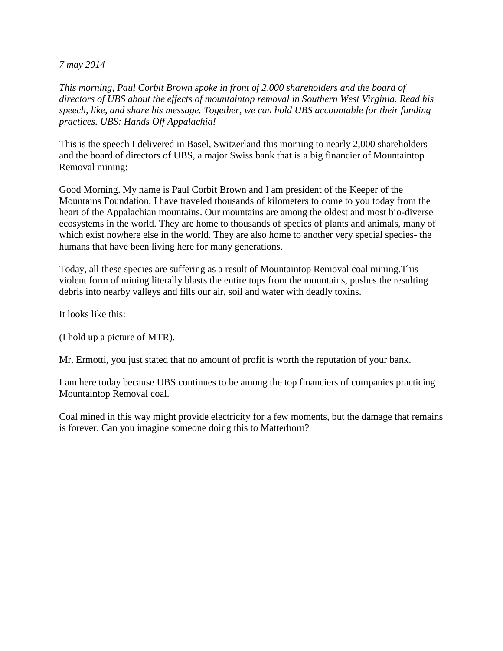*7 may 2014*

*This morning, Paul Corbit Brown spoke in front of 2,000 shareholders and the board of directors of UBS about the effects of mountaintop removal in Southern West Virginia. Read his speech, like, and share his message. Together, we can hold UBS accountable for their funding practices. UBS: Hands Off Appalachia!* 

This is the speech I delivered in Basel, Switzerland this morning to nearly 2,000 shareholders and the board of directors of UBS, a major Swiss bank that is a big financier of Mountaintop Removal mining:

Good Morning. My name is Paul Corbit Brown and I am president of the Keeper of the Mountains Foundation. I have traveled thousands of kilometers to come to you today from the heart of the Appalachian mountains. Our mountains are among the oldest and most bio-diverse ecosystems in the world. They are home to thousands of species of plants and animals, many of which exist nowhere else in the world. They are also home to another very special species- the humans that have been living here for many generations.

Today, all these species are suffering as a result of Mountaintop Removal coal mining.This violent form of mining literally blasts the entire tops from the mountains, pushes the resulting debris into nearby valleys and fills our air, soil and water with deadly toxins.

It looks like this:

(I hold up a picture of MTR).

Mr. Ermotti, you just stated that no amount of profit is worth the reputation of your bank.

I am here today because UBS continues to be among the top financiers of companies practicing Mountaintop Removal coal.

Coal mined in this way might provide electricity for a few moments, but the damage that remains is forever. Can you imagine someone doing this to Matterhorn?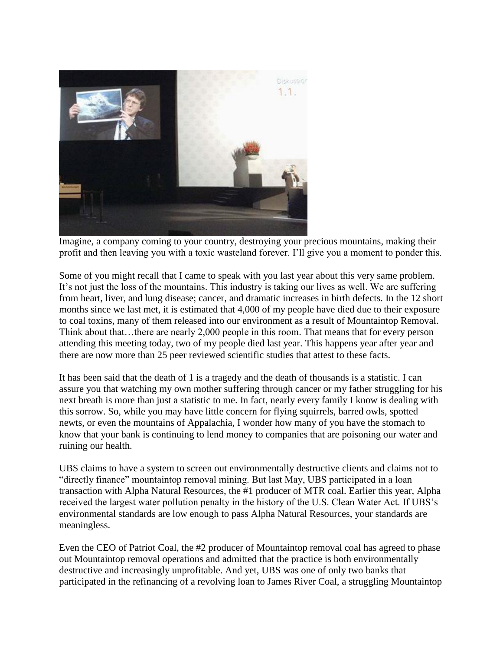

Imagine, a company coming to your country, destroying your precious mountains, making their profit and then leaving you with a toxic wasteland forever. I'll give you a moment to ponder this.

Some of you might recall that I came to speak with you last year about this very same problem. It's not just the loss of the mountains. This industry is taking our lives as well. We are suffering from heart, liver, and lung disease; cancer, and dramatic increases in birth defects. In the 12 short months since we last met, it is estimated that 4,000 of my people have died due to their exposure to coal toxins, many of them released into our environment as a result of Mountaintop Removal. Think about that…there are nearly 2,000 people in this room. That means that for every person attending this meeting today, two of my people died last year. This happens year after year and there are now more than 25 peer reviewed scientific studies that attest to these facts.

It has been said that the death of 1 is a tragedy and the death of thousands is a statistic. I can assure you that watching my own mother suffering through cancer or my father struggling for his next breath is more than just a statistic to me. In fact, nearly every family I know is dealing with this sorrow. So, while you may have little concern for flying squirrels, barred owls, spotted newts, or even the mountains of Appalachia, I wonder how many of you have the stomach to know that your bank is continuing to lend money to companies that are poisoning our water and ruining our health.

UBS claims to have a system to screen out environmentally destructive clients and claims not to "directly finance" mountaintop removal mining. But last May, UBS participated in a loan transaction with Alpha Natural Resources, the #1 producer of MTR coal. Earlier this year, Alpha received the largest water pollution penalty in the history of the U.S. Clean Water Act. If UBS's environmental standards are low enough to pass Alpha Natural Resources, your standards are meaningless.

Even the CEO of Patriot Coal, the #2 producer of Mountaintop removal coal has agreed to phase out Mountaintop removal operations and admitted that the practice is both environmentally destructive and increasingly unprofitable. And yet, UBS was one of only two banks that participated in the refinancing of a revolving loan to James River Coal, a struggling Mountaintop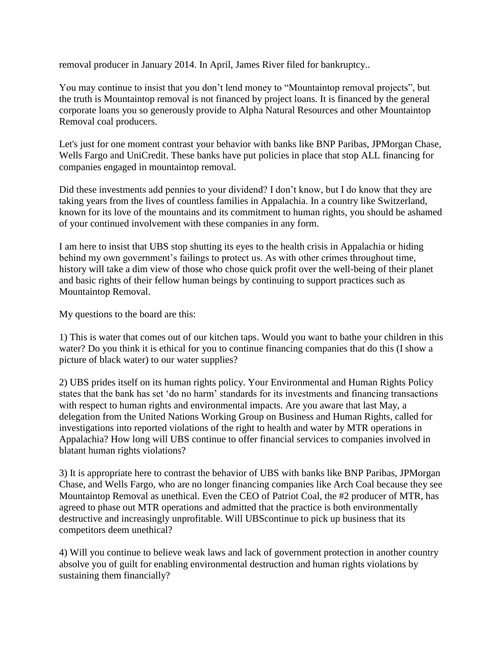removal producer in January 2014. In April, James River filed for bankruptcy..

You may continue to insist that you don't lend money to "Mountaintop removal projects", but the truth is Mountaintop removal is not financed by project loans. It is financed by the general corporate loans you so generously provide to Alpha Natural Resources and other Mountaintop Removal coal producers.

Let's just for one moment contrast your behavior with banks like BNP Paribas, JPMorgan Chase, Wells Fargo and UniCredit. These banks have put policies in place that stop ALL financing for companies engaged in mountaintop removal.

Did these investments add pennies to your dividend? I don't know, but I do know that they are taking years from the lives of countless families in Appalachia. In a country like Switzerland, known for its love of the mountains and its commitment to human rights, you should be ashamed of your continued involvement with these companies in any form.

I am here to insist that UBS stop shutting its eyes to the health crisis in Appalachia or hiding behind my own government's failings to protect us. As with other crimes throughout time, history will take a dim view of those who chose quick profit over the well-being of their planet and basic rights of their fellow human beings by continuing to support practices such as Mountaintop Removal.

My questions to the board are this:

1) This is water that comes out of our kitchen taps. Would you want to bathe your children in this water? Do you think it is ethical for you to continue financing companies that do this (I show a picture of black water) to our water supplies?

2) UBS prides itself on its human rights policy. Your Environmental and Human Rights Policy states that the bank has set 'do no harm' standards for its investments and financing transactions with respect to human rights and environmental impacts. Are you aware that last May, a delegation from the United Nations Working Group on Business and Human Rights, called for investigations into reported violations of the right to health and water by MTR operations in Appalachia? How long will UBS continue to offer financial services to companies involved in blatant human rights violations?

3) It is appropriate here to contrast the behavior of UBS with banks like BNP Paribas, JPMorgan Chase, and Wells Fargo, who are no longer financing companies like Arch Coal because they see Mountaintop Removal as unethical. Even the CEO of Patriot Coal, the #2 producer of MTR, has agreed to phase out MTR operations and admitted that the practice is both environmentally destructive and increasingly unprofitable. Will UBScontinue to pick up business that its competitors deem unethical?

4) Will you continue to believe weak laws and lack of government protection in another country absolve you of guilt for enabling environmental destruction and human rights violations by sustaining them financially?